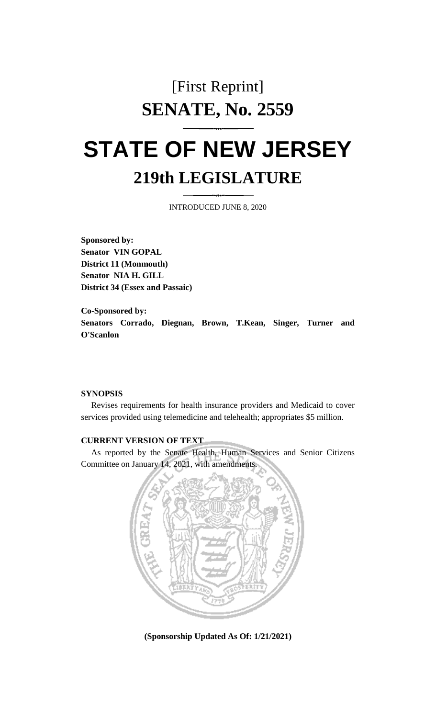# [First Reprint] **SENATE, No. 2559**

# **STATE OF NEW JERSEY 219th LEGISLATURE**

INTRODUCED JUNE 8, 2020

**Sponsored by: Senator VIN GOPAL District 11 (Monmouth) Senator NIA H. GILL District 34 (Essex and Passaic)**

**Co-Sponsored by: Senators Corrado, Diegnan, Brown, T.Kean, Singer, Turner and O'Scanlon**

#### **SYNOPSIS**

Revises requirements for health insurance providers and Medicaid to cover services provided using telemedicine and telehealth; appropriates \$5 million.

### **CURRENT VERSION OF TEXT**

As reported by the Senate Health, Human Services and Senior Citizens Committee on January 14, 2021, with amendments.



**(Sponsorship Updated As Of: 1/21/2021)**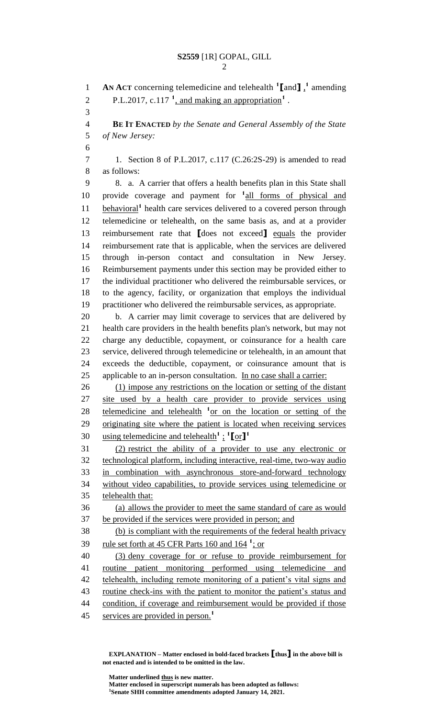**AN ACT** concerning telemedicine and telehealth **<sup>1</sup> [**and**]** , **1** amending 2 P.L.2017, c.117<sup> $1$ </sup>, and making an appropriation<sup>1</sup>. **BE IT ENACTED** *by the Senate and General Assembly of the State of New Jersey:* 1. Section 8 of P.L.2017, c.117 (C.26:2S-29) is amended to read as follows: 8. a. A carrier that offers a health benefits plan in this State shall 10 provide coverage and payment for <sup>1</sup><sub>all</sub> forms of physical and 11 behavioral<sup>1</sup> health care services delivered to a covered person through telemedicine or telehealth, on the same basis as, and at a provider reimbursement rate that **[**does not exceed**]** equals the provider reimbursement rate that is applicable, when the services are delivered through in-person contact and consultation in New Jersey. Reimbursement payments under this section may be provided either to the individual practitioner who delivered the reimbursable services, or to the agency, facility, or organization that employs the individual practitioner who delivered the reimbursable services, as appropriate. b. A carrier may limit coverage to services that are delivered by health care providers in the health benefits plan's network, but may not charge any deductible, copayment, or coinsurance for a health care service, delivered through telemedicine or telehealth, in an amount that exceeds the deductible, copayment, or coinsurance amount that is applicable to an in-person consultation. In no case shall a carrier: (1) impose any restrictions on the location or setting of the distant site used by a health care provider to provide services using 28 telemedicine and telehealth <sup>1</sup> or on the location or setting of the originating site where the patient is located when receiving services using telemedicine and telehealth**<sup>1</sup>** ; **1 [**or**] 1** (2) restrict the ability of a provider to use any electronic or technological platform, including interactive, real-time, two-way audio in combination with asynchronous store-and-forward technology without video capabilities, to provide services using telemedicine or telehealth that: (a) allows the provider to meet the same standard of care as would be provided if the services were provided in person; and (b) is compliant with the requirements of the federal health privacy 39 rule set forth at 45 CFR Parts 160 and 164<sup>1</sup>; or (3) deny coverage for or refuse to provide reimbursement for routine patient monitoring performed using telemedicine and 42 telehealth, including remote monitoring of a patient's vital signs and routine check-ins with the patient to monitor the patient's status and condition, if coverage and reimbursement would be provided if those services are provided in person. **1** 

**EXPLANATION – Matter enclosed in bold-faced brackets [thus] in the above bill is not enacted and is intended to be omitted in the law.**

**Matter underlined thus is new matter.**

**Matter enclosed in superscript numerals has been adopted as follows: Senate SHH committee amendments adopted January 14, 2021.**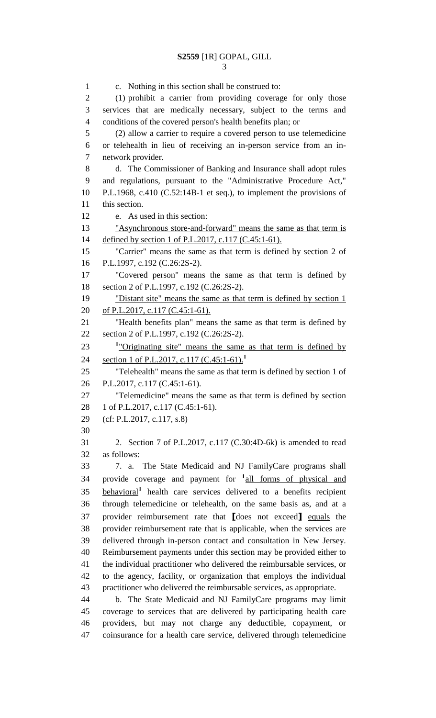c. Nothing in this section shall be construed to: (1) prohibit a carrier from providing coverage for only those services that are medically necessary, subject to the terms and conditions of the covered person's health benefits plan; or (2) allow a carrier to require a covered person to use telemedicine or telehealth in lieu of receiving an in-person service from an in- network provider. d. The Commissioner of Banking and Insurance shall adopt rules and regulations, pursuant to the "Administrative Procedure Act," P.L.1968, c.410 (C.52:14B-1 et seq.), to implement the provisions of this section. e. As used in this section: "Asynchronous store-and-forward" means the same as that term is 14 defined by section 1 of P.L.2017, c.117 (C.45:1-61). "Carrier" means the same as that term is defined by section 2 of P.L.1997, c.192 (C.26:2S-2). "Covered person" means the same as that term is defined by section 2 of P.L.1997, c.192 (C.26:2S-2). 19 "Distant site" means the same as that term is defined by section 1 20 of P.L.2017, c.117 (C.45:1-61). "Health benefits plan" means the same as that term is defined by section 2 of P.L.1997, c.192 (C.26:2S-2). <sup>1</sup> <u>"Originating site"</u> means the same as that term is defined by section 1 of P.L.2017, c.117 (C.45:1-61).**<sup>1</sup>** "Telehealth" means the same as that term is defined by section 1 of P.L.2017, c.117 (C.45:1-61). "Telemedicine" means the same as that term is defined by section 28 1 of P.L.2017, c.117 (C.45:1-61). (cf: P.L.2017, c.117, s.8) 2. Section 7 of P.L.2017, c.117 (C.30:4D-6k) is amended to read as follows: 7. a. The State Medicaid and NJ FamilyCare programs shall 34 provide coverage and payment for <sup>1</sup><sub>all forms of physical and</sub> **health** care services delivered to a benefits recipient through telemedicine or telehealth, on the same basis as, and at a provider reimbursement rate that **[**does not exceed**]** equals the provider reimbursement rate that is applicable, when the services are delivered through in-person contact and consultation in New Jersey. Reimbursement payments under this section may be provided either to the individual practitioner who delivered the reimbursable services, or to the agency, facility, or organization that employs the individual practitioner who delivered the reimbursable services, as appropriate. b. The State Medicaid and NJ FamilyCare programs may limit coverage to services that are delivered by participating health care providers, but may not charge any deductible, copayment, or coinsurance for a health care service, delivered through telemedicine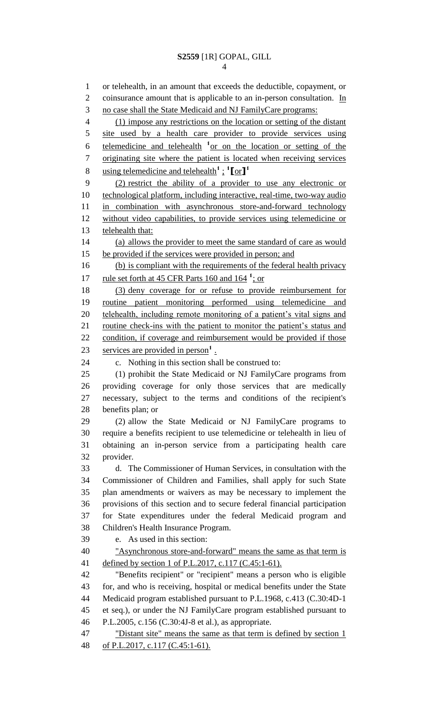or telehealth, in an amount that exceeds the deductible, copayment, or 2 coinsurance amount that is applicable to an in-person consultation. In no case shall the State Medicaid and NJ FamilyCare programs: (1) impose any restrictions on the location or setting of the distant 5 site used by a health care provider to provide services using 6 telemedicine and telehealth <sup>1</sup> or on the location or setting of the originating site where the patient is located when receiving services using telemedicine and telehealth**<sup>1</sup>**; **1 [**or**] 1** (2) restrict the ability of a provider to use any electronic or technological platform, including interactive, real-time, two-way audio in combination with asynchronous store-and-forward technology without video capabilities, to provide services using telemedicine or 13 telehealth that: (a) allows the provider to meet the same standard of care as would 15 be provided if the services were provided in person; and 16 (b) is compliant with the requirements of the federal health privacy 17 rule set forth at 45 CFR Parts 160 and 164<sup>1</sup>; or (3) deny coverage for or refuse to provide reimbursement for routine patient monitoring performed using telemedicine and telehealth, including remote monitoring of a patient's vital signs and 21 routine check-ins with the patient to monitor the patient's status and condition, if coverage and reimbursement would be provided if those 23 services are provided in person<sup>1</sup>. c. Nothing in this section shall be construed to: (1) prohibit the State Medicaid or NJ FamilyCare programs from providing coverage for only those services that are medically necessary, subject to the terms and conditions of the recipient's benefits plan; or (2) allow the State Medicaid or NJ FamilyCare programs to require a benefits recipient to use telemedicine or telehealth in lieu of obtaining an in-person service from a participating health care provider. d. The Commissioner of Human Services, in consultation with the Commissioner of Children and Families, shall apply for such State plan amendments or waivers as may be necessary to implement the provisions of this section and to secure federal financial participation for State expenditures under the federal Medicaid program and Children's Health Insurance Program. e. As used in this section: "Asynchronous store-and-forward" means the same as that term is defined by section 1 of P.L.2017, c.117 (C.45:1-61). "Benefits recipient" or "recipient" means a person who is eligible for, and who is receiving, hospital or medical benefits under the State Medicaid program established pursuant to P.L.1968, c.413 (C.30:4D-1 et seq.), or under the NJ FamilyCare program established pursuant to P.L.2005, c.156 (C.30:4J-8 et al.), as appropriate. 47 "Distant site" means the same as that term is defined by section 1 of P.L.2017, c.117 (C.45:1-61).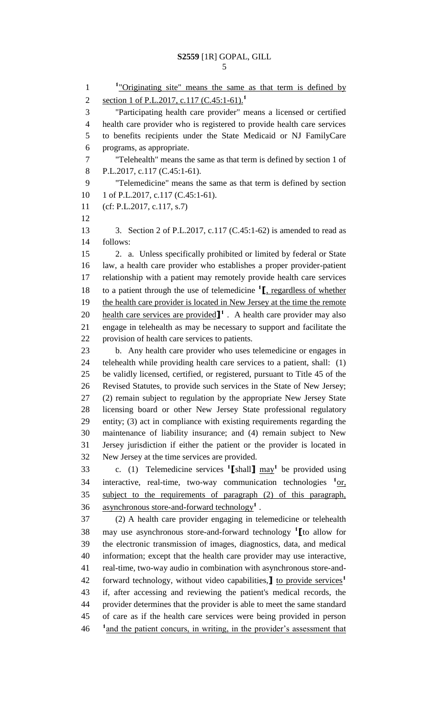| ٠<br>$-$ |
|----------|
|          |

1 <sup>1</sup>"Originating site" means the same as that term is defined by section 1 of P.L.2017, c.117 (C.45:1-61).**<sup>1</sup>** "Participating health care provider" means a licensed or certified health care provider who is registered to provide health care services to benefits recipients under the State Medicaid or NJ FamilyCare programs, as appropriate. "Telehealth" means the same as that term is defined by section 1 of 8 P.L.2017, c.117 (C.45:1-61). "Telemedicine" means the same as that term is defined by section 10 1 of P.L.2017, c.117 (C.45:1-61). (cf: P.L.2017, c.117, s.7) 13 3. Section 2 of P.L.2017, c.117 (C.45:1-62) is amended to read as follows: 2. a. Unless specifically prohibited or limited by federal or State law, a health care provider who establishes a proper provider-patient relationship with a patient may remotely provide health care services 18 to a patient through the use of telemedicine <sup>1</sup><sub>L</sub>, regardless of whether 19 the health care provider is located in New Jersey at the time the remote **health care services are provided**  $\mathbf{I}^1$ . A health care provider may also engage in telehealth as may be necessary to support and facilitate the provision of health care services to patients. b. Any health care provider who uses telemedicine or engages in telehealth while providing health care services to a patient, shall: (1) be validly licensed, certified, or registered, pursuant to Title 45 of the Revised Statutes, to provide such services in the State of New Jersey; (2) remain subject to regulation by the appropriate New Jersey State licensing board or other New Jersey State professional regulatory entity; (3) act in compliance with existing requirements regarding the maintenance of liability insurance; and (4) remain subject to New Jersey jurisdiction if either the patient or the provider is located in New Jersey at the time services are provided. 33 c. (1) Telemedicine services  $\textbf{1}$  shall  $\textbf{1}$  may<sup>1</sup> be provided using 34 interactive, real-time, two-way communication technologies <sup>1</sup>or, subject to the requirements of paragraph (2) of this paragraph, asynchronous store-and-forward technology**<sup>1</sup>** . (2) A health care provider engaging in telemedicine or telehealth may use asynchronous store-and-forward technology **<sup>1</sup> [**to allow for the electronic transmission of images, diagnostics, data, and medical information; except that the health care provider may use interactive, real-time, two-way audio in combination with asynchronous store-andforward technology, without video capabilities,**]** to provide services**<sup>1</sup>** if, after accessing and reviewing the patient's medical records, the provider determines that the provider is able to meet the same standard of care as if the health care services were being provided in person <sup>1</sup> and the patient concurs, in writing, in the provider's assessment that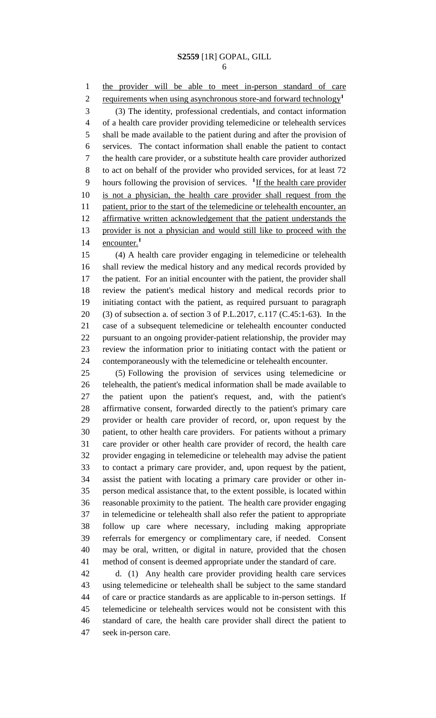the provider will be able to meet in-person standard of care requirements when using asynchronous store-and forward technology**<sup>1</sup>** (3) The identity, professional credentials, and contact information of a health care provider providing telemedicine or telehealth services shall be made available to the patient during and after the provision of services. The contact information shall enable the patient to contact the health care provider, or a substitute health care provider authorized to act on behalf of the provider who provided services, for at least 72 9 hours following the provision of services. <sup>1</sup>If the health care provider is not a physician, the health care provider shall request from the patient, prior to the start of the telemedicine or telehealth encounter, an affirmative written acknowledgement that the patient understands the provider is not a physician and would still like to proceed with the encounter.**<sup>1</sup>** 

 (4) A health care provider engaging in telemedicine or telehealth shall review the medical history and any medical records provided by the patient. For an initial encounter with the patient, the provider shall review the patient's medical history and medical records prior to initiating contact with the patient, as required pursuant to paragraph (3) of subsection a. of section 3 of P.L.2017, c.117 (C.45:1-63). In the case of a subsequent telemedicine or telehealth encounter conducted pursuant to an ongoing provider-patient relationship, the provider may review the information prior to initiating contact with the patient or contemporaneously with the telemedicine or telehealth encounter.

 (5) Following the provision of services using telemedicine or telehealth, the patient's medical information shall be made available to the patient upon the patient's request, and, with the patient's affirmative consent, forwarded directly to the patient's primary care provider or health care provider of record, or, upon request by the patient, to other health care providers. For patients without a primary care provider or other health care provider of record, the health care provider engaging in telemedicine or telehealth may advise the patient to contact a primary care provider, and, upon request by the patient, assist the patient with locating a primary care provider or other in- person medical assistance that, to the extent possible, is located within reasonable proximity to the patient. The health care provider engaging in telemedicine or telehealth shall also refer the patient to appropriate follow up care where necessary, including making appropriate referrals for emergency or complimentary care, if needed. Consent may be oral, written, or digital in nature, provided that the chosen method of consent is deemed appropriate under the standard of care.

 d. (1) Any health care provider providing health care services using telemedicine or telehealth shall be subject to the same standard of care or practice standards as are applicable to in-person settings. If telemedicine or telehealth services would not be consistent with this standard of care, the health care provider shall direct the patient to seek in-person care.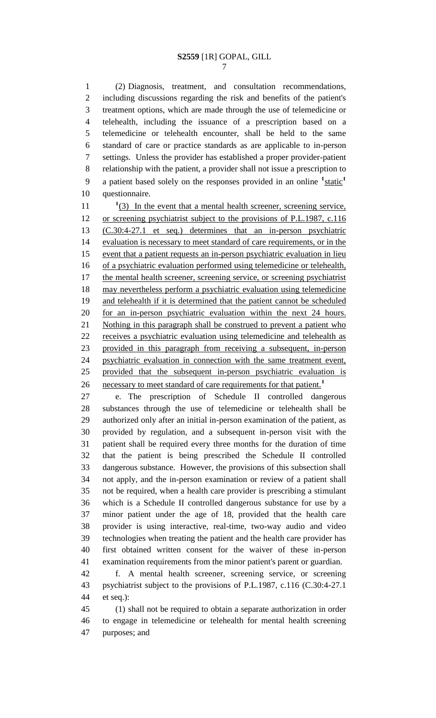(2) Diagnosis, treatment, and consultation recommendations, including discussions regarding the risk and benefits of the patient's treatment options, which are made through the use of telemedicine or telehealth, including the issuance of a prescription based on a telemedicine or telehealth encounter, shall be held to the same standard of care or practice standards as are applicable to in-person settings. Unless the provider has established a proper provider-patient relationship with the patient, a provider shall not issue a prescription to a patient based solely on the responses provided in an online **<sup>1</sup>** static**<sup>1</sup>** questionnaire.

 $\frac{1}{3}$  In the event that a mental health screener, screening service, or screening psychiatrist subject to the provisions of P.L.1987, c.116 (C.30:4-27.1 et seq.) determines that an in-person psychiatric evaluation is necessary to meet standard of care requirements, or in the event that a patient requests an in-person psychiatric evaluation in lieu of a psychiatric evaluation performed using telemedicine or telehealth, 17 the mental health screener, screening service, or screening psychiatrist may nevertheless perform a psychiatric evaluation using telemedicine and telehealth if it is determined that the patient cannot be scheduled for an in-person psychiatric evaluation within the next 24 hours. 21 Nothing in this paragraph shall be construed to prevent a patient who receives a psychiatric evaluation using telemedicine and telehealth as provided in this paragraph from receiving a subsequent, in-person psychiatric evaluation in connection with the same treatment event, provided that the subsequent in-person psychiatric evaluation is necessary to meet standard of care requirements for that patient.**<sup>1</sup>** 

 e. The prescription of Schedule II controlled dangerous substances through the use of telemedicine or telehealth shall be authorized only after an initial in-person examination of the patient, as provided by regulation, and a subsequent in-person visit with the patient shall be required every three months for the duration of time that the patient is being prescribed the Schedule II controlled dangerous substance. However, the provisions of this subsection shall not apply, and the in-person examination or review of a patient shall not be required, when a health care provider is prescribing a stimulant which is a Schedule II controlled dangerous substance for use by a minor patient under the age of 18, provided that the health care provider is using interactive, real-time, two-way audio and video technologies when treating the patient and the health care provider has first obtained written consent for the waiver of these in-person examination requirements from the minor patient's parent or guardian.

 f. A mental health screener, screening service, or screening psychiatrist subject to the provisions of P.L.1987, c.116 (C.30:4-27.1 et seq.):

 (1) shall not be required to obtain a separate authorization in order to engage in telemedicine or telehealth for mental health screening purposes; and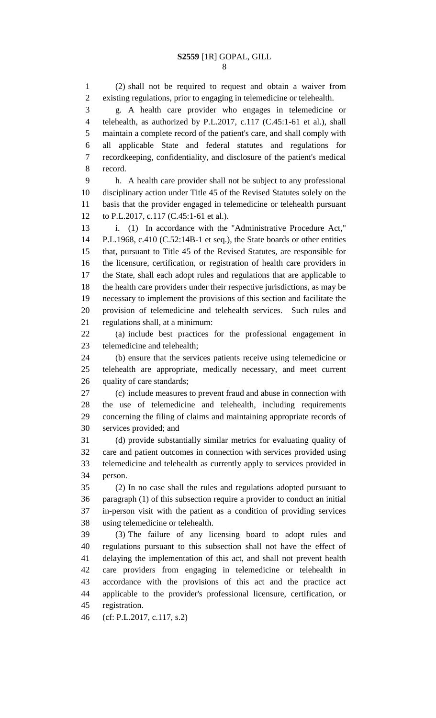(2) shall not be required to request and obtain a waiver from existing regulations, prior to engaging in telemedicine or telehealth. g. A health care provider who engages in telemedicine or telehealth, as authorized by P.L.2017, c.117 (C.45:1-61 et al.), shall maintain a complete record of the patient's care, and shall comply with all applicable State and federal statutes and regulations for recordkeeping, confidentiality, and disclosure of the patient's medical record. h. A health care provider shall not be subject to any professional

 disciplinary action under Title 45 of the Revised Statutes solely on the basis that the provider engaged in telemedicine or telehealth pursuant to P.L.2017, c.117 (C.45:1-61 et al.).

 i. (1) In accordance with the "Administrative Procedure Act," P.L.1968, c.410 (C.52:14B-1 et seq.), the State boards or other entities that, pursuant to Title 45 of the Revised Statutes, are responsible for the licensure, certification, or registration of health care providers in the State, shall each adopt rules and regulations that are applicable to the health care providers under their respective jurisdictions, as may be necessary to implement the provisions of this section and facilitate the provision of telemedicine and telehealth services. Such rules and regulations shall, at a minimum:

 (a) include best practices for the professional engagement in telemedicine and telehealth;

 (b) ensure that the services patients receive using telemedicine or telehealth are appropriate, medically necessary, and meet current quality of care standards;

 (c) include measures to prevent fraud and abuse in connection with the use of telemedicine and telehealth, including requirements concerning the filing of claims and maintaining appropriate records of services provided; and

 (d) provide substantially similar metrics for evaluating quality of care and patient outcomes in connection with services provided using telemedicine and telehealth as currently apply to services provided in person.

 (2) In no case shall the rules and regulations adopted pursuant to paragraph (1) of this subsection require a provider to conduct an initial in-person visit with the patient as a condition of providing services using telemedicine or telehealth.

 (3) The failure of any licensing board to adopt rules and regulations pursuant to this subsection shall not have the effect of delaying the implementation of this act, and shall not prevent health care providers from engaging in telemedicine or telehealth in accordance with the provisions of this act and the practice act applicable to the provider's professional licensure, certification, or registration.

(cf: P.L.2017, c.117, s.2)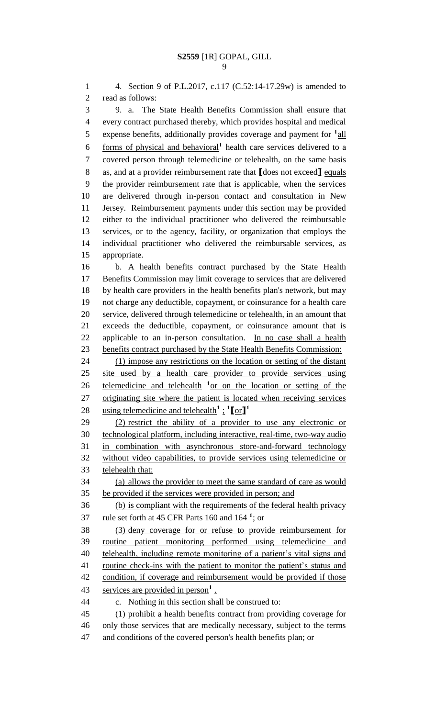4. Section 9 of P.L.2017, c.117 (C.52:14-17.29w) is amended to read as follows: 9. a. The State Health Benefits Commission shall ensure that every contract purchased thereby, which provides hospital and medical 5 expense benefits, additionally provides coverage and payment for <sup>1</sup> all 6 forms of physical and behavioral<sup>1</sup> health care services delivered to a covered person through telemedicine or telehealth, on the same basis as, and at a provider reimbursement rate that **[**does not exceed**]** equals the provider reimbursement rate that is applicable, when the services are delivered through in-person contact and consultation in New Jersey. Reimbursement payments under this section may be provided either to the individual practitioner who delivered the reimbursable services, or to the agency, facility, or organization that employs the individual practitioner who delivered the reimbursable services, as appropriate. b. A health benefits contract purchased by the State Health Benefits Commission may limit coverage to services that are delivered by health care providers in the health benefits plan's network, but may not charge any deductible, copayment, or coinsurance for a health care service, delivered through telemedicine or telehealth, in an amount that exceeds the deductible, copayment, or coinsurance amount that is applicable to an in-person consultation. In no case shall a health benefits contract purchased by the State Health Benefits Commission: 24 (1) impose any restrictions on the location or setting of the distant site used by a health care provider to provide services using 26 telemedicine and telehealth <sup>1</sup> or on the location or setting of the originating site where the patient is located when receiving services using telemedicine and telehealth**<sup>1</sup>** ; **1 [**or**] 1** (2) restrict the ability of a provider to use any electronic or technological platform, including interactive, real-time, two-way audio in combination with asynchronous store-and-forward technology without video capabilities, to provide services using telemedicine or telehealth that: (a) allows the provider to meet the same standard of care as would be provided if the services were provided in person; and (b) is compliant with the requirements of the federal health privacy 37 rule set forth at 45 CFR Parts 160 and 164<sup>1</sup>; or (3) deny coverage for or refuse to provide reimbursement for routine patient monitoring performed using telemedicine and 40 telehealth, including remote monitoring of a patient's vital signs and 41 routine check-ins with the patient to monitor the patient's status and condition, if coverage and reimbursement would be provided if those 43 services are provided in person<sup>1</sup>. c. Nothing in this section shall be construed to: (1) prohibit a health benefits contract from providing coverage for only those services that are medically necessary, subject to the terms

and conditions of the covered person's health benefits plan; or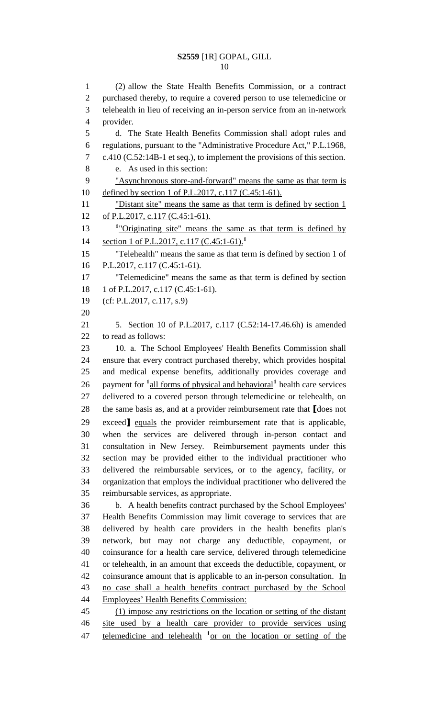(2) allow the State Health Benefits Commission, or a contract purchased thereby, to require a covered person to use telemedicine or telehealth in lieu of receiving an in-person service from an in-network provider. d. The State Health Benefits Commission shall adopt rules and regulations, pursuant to the "Administrative Procedure Act," P.L.1968, c.410 (C.52:14B-1 et seq.), to implement the provisions of this section. e. As used in this section: "Asynchronous store-and-forward" means the same as that term is 10 defined by section 1 of P.L.2017, c.117 (C.45:1-61). "Distant site" means the same as that term is defined by section 1 12 of P.L.2017, c.117 (C.45:1-61). 13 <sup>1</sup>"Originating site" means the same as that term is defined by section 1 of P.L.2017, c.117 (C.45:1-61).**<sup>1</sup>** "Telehealth" means the same as that term is defined by section 1 of P.L.2017, c.117 (C.45:1-61). "Telemedicine" means the same as that term is defined by section 18 1 of P.L.2017, c.117 (C.45:1-61). (cf: P.L.2017, c.117, s.9) 5. Section 10 of P.L.2017, c.117 (C.52:14-17.46.6h) is amended to read as follows: 10. a. The School Employees' Health Benefits Commission shall ensure that every contract purchased thereby, which provides hospital and medical expense benefits, additionally provides coverage and 26 payment for <sup>1</sup> all forms of physical and behavioral<sup>1</sup> health care services delivered to a covered person through telemedicine or telehealth, on the same basis as, and at a provider reimbursement rate that **[**does not exceed**]** equals the provider reimbursement rate that is applicable, when the services are delivered through in-person contact and consultation in New Jersey. Reimbursement payments under this section may be provided either to the individual practitioner who delivered the reimbursable services, or to the agency, facility, or organization that employs the individual practitioner who delivered the reimbursable services, as appropriate. b. A health benefits contract purchased by the School Employees' Health Benefits Commission may limit coverage to services that are delivered by health care providers in the health benefits plan's network, but may not charge any deductible, copayment, or coinsurance for a health care service, delivered through telemedicine or telehealth, in an amount that exceeds the deductible, copayment, or 42 coinsurance amount that is applicable to an in-person consultation. In no case shall a health benefits contract purchased by the School Employees' Health Benefits Commission: (1) impose any restrictions on the location or setting of the distant site used by a health care provider to provide services using 47 telemedicine and telehealth <sup>1</sup> or on the location or setting of the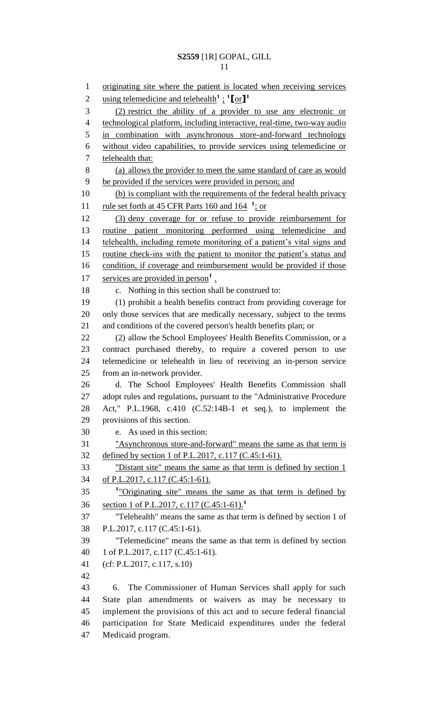originating site where the patient is located when receiving services using telemedicine and telehealth**<sup>1</sup>** ; **1 [**or**] 1** (2) restrict the ability of a provider to use any electronic or technological platform, including interactive, real-time, two-way audio in combination with asynchronous store-and-forward technology without video capabilities, to provide services using telemedicine or telehealth that: (a) allows the provider to meet the same standard of care as would be provided if the services were provided in person; and (b) is compliant with the requirements of the federal health privacy 11 rule set forth at 45 CFR Parts 160 and 164 <sup>1</sup>; or (3) deny coverage for or refuse to provide reimbursement for routine patient monitoring performed using telemedicine and 14 telehealth, including remote monitoring of a patient's vital signs and 15 routine check-ins with the patient to monitor the patient's status and 16 condition, if coverage and reimbursement would be provided if those 17 services are provided in person<sup>1</sup>. c. Nothing in this section shall be construed to: (1) prohibit a health benefits contract from providing coverage for only those services that are medically necessary, subject to the terms and conditions of the covered person's health benefits plan; or 22 (2) allow the School Employees' Health Benefits Commission, or a contract purchased thereby, to require a covered person to use telemedicine or telehealth in lieu of receiving an in-person service from an in-network provider. d. The School Employees' Health Benefits Commission shall adopt rules and regulations, pursuant to the "Administrative Procedure Act," P.L.1968, c.410 (C.52:14B-1 et seq.), to implement the provisions of this section. e. As used in this section: "Asynchronous store-and-forward" means the same as that term is defined by section 1 of P.L.2017, c.117 (C.45:1-61). "Distant site" means the same as that term is defined by section 1 of P.L.2017, c.117 (C.45:1-61). "Originating site" means the same as that term is defined by section 1 of P.L.2017, c.117 (C.45:1-61).**<sup>1</sup>** "Telehealth" means the same as that term is defined by section 1 of P.L.2017, c.117 (C.45:1-61). "Telemedicine" means the same as that term is defined by section 1 of P.L.2017, c.117 (C.45:1-61). (cf: P.L.2017, c.117, s.10) 6. The Commissioner of Human Services shall apply for such State plan amendments or waivers as may be necessary to implement the provisions of this act and to secure federal financial participation for State Medicaid expenditures under the federal Medicaid program.